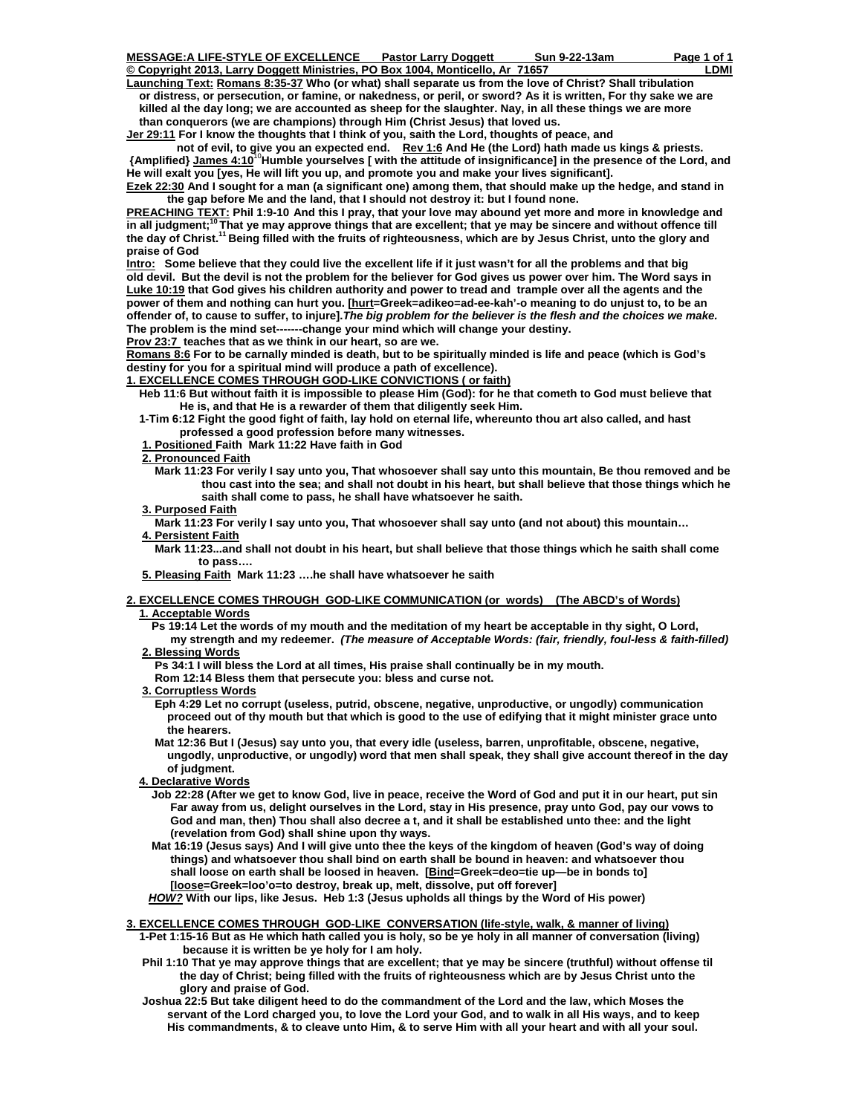**© Copyright 2013, Larry Doggett Ministries, PO Box 1004, Monticello, Ar 71657 LDMI Launching Text: Romans 8:35-37 Who (or what) shall separate us from the love of Christ? Shall tribulation or distress, or persecution, or famine, or nakedness, or peril, or sword? As it is written, For thy sake we are killed al the day long; we are accounted as sheep for the slaughter. Nay, in all these things we are more than conquerors (we are champions) through Him (Christ Jesus) that loved us.** 

**Jer 29:11 For I know the thoughts that I think of you, saith the Lord, thoughts of peace, and** 

not of evil, to give you an expected end. Rev 1:6 And He (the Lord) hath made us kings & priests.  **{Amplified} James 4:10**<sup>10</sup>**Humble yourselves [ with the attitude of insignificance] in the presence of the Lord, and He will exalt you [yes, He will lift you up, and promote you and make your lives significant].** 

**Ezek 22:30 And I sought for a man (a significant one) among them, that should make up the hedge, and stand in**  the gap before Me and the land, that I should not destroy it: but I found none.

**PREACHING TEXT: Phil 1:9-10 And this I pray, that your love may abound yet more and more in knowledge and in all judgment;10 That ye may approve things that are excellent; that ye may be sincere and without offence till the day of Christ.11 Being filled with the fruits of righteousness, which are by Jesus Christ, unto the glory and praise of God** 

**Intro: Some believe that they could live the excellent life if it just wasn't for all the problems and that big old devil. But the devil is not the problem for the believer for God gives us power over him. The Word says in Luke 10:19 that God gives his children authority and power to tread and trample over all the agents and the power of them and nothing can hurt you. [hurt=Greek=adikeo=ad-ee-kah'-o meaning to do unjust to, to be an offender of, to cause to suffer, to injure].***The big problem for the believer is the flesh and the choices we make.* **The problem is the mind set-------change your mind which will change your destiny.** 

**Prov 23:7 teaches that as we think in our heart, so are we.** 

**Romans 8:6 For to be carnally minded is death, but to be spiritually minded is life and peace (which is God's destiny for you for a spiritual mind will produce a path of excellence).** 

**1. EXCELLENCE COMES THROUGH GOD-LIKE CONVICTIONS ( or faith)**

 **Heb 11:6 But without faith it is impossible to please Him (God): for he that cometh to God must believe that He is, and that He is a rewarder of them that diligently seek Him.** 

 **1-Tim 6:12 Fight the good fight of faith, lay hold on eternal life, whereunto thou art also called, and hast professed a good profession before many witnesses.** 

 **1. Positioned Faith Mark 11:22 Have faith in God** 

 **2. Pronounced Faith**

- **Mark 11:23 For verily I say unto you, That whosoever shall say unto this mountain, Be thou removed and be thou cast into the sea; and shall not doubt in his heart, but shall believe that those things which he saith shall come to pass, he shall have whatsoever he saith.**
- **3. Purposed Faith**

 **Mark 11:23 For verily I say unto you, That whosoever shall say unto (and not about) this mountain… 4. Persistent Faith**

 **Mark 11:23...and shall not doubt in his heart, but shall believe that those things which he saith shall come to pass….** 

 **5. Pleasing Faith Mark 11:23 ….he shall have whatsoever he saith** 

### **2. EXCELLENCE COMES THROUGH GOD-LIKE COMMUNICATION (or words) (The ABCD's of Words) 1. Acceptable Words**

 **Ps 19:14 Let the words of my mouth and the meditation of my heart be acceptable in thy sight, O Lord, my strength and my redeemer.** *(The measure of Acceptable Words: (fair, friendly, foul-less & faith-filled)*

# **2. Blessing Words**

 **Ps 34:1 I will bless the Lord at all times, His praise shall continually be in my mouth.** 

 **Rom 12:14 Bless them that persecute you: bless and curse not.** 

 **3. Corruptless Words**

 **Eph 4:29 Let no corrupt (useless, putrid, obscene, negative, unproductive, or ungodly) communication proceed out of thy mouth but that which is good to the use of edifying that it might minister grace unto the hearers.** 

 **Mat 12:36 But I (Jesus) say unto you, that every idle (useless, barren, unprofitable, obscene, negative, ungodly, unproductive, or ungodly) word that men shall speak, they shall give account thereof in the day of judgment.** 

 **4. Declarative Words**

 **Job 22:28 (After we get to know God, live in peace, receive the Word of God and put it in our heart, put sin Far away from us, delight ourselves in the Lord, stay in His presence, pray unto God, pay our vows to God and man, then) Thou shall also decree a t, and it shall be established unto thee: and the light (revelation from God) shall shine upon thy ways.** 

 **Mat 16:19 (Jesus says) And I will give unto thee the keys of the kingdom of heaven (God's way of doing things) and whatsoever thou shall bind on earth shall be bound in heaven: and whatsoever thou**  shall loose on earth shall be loosed in heaven. [Bind=Greek=deo=tie up-be in bonds to]  **[loose=Greek=loo'o=to destroy, break up, melt, dissolve, put off forever]** 

*HOW?* **With our lips, like Jesus. Heb 1:3 (Jesus upholds all things by the Word of His power)** 

#### **3. EXCELLENCE COMES THROUGH GOD-LIKE CONVERSATION (life-style, walk, & manner of living)**

 **1-Pet 1:15-16 But as He which hath called you is holy, so be ye holy in all manner of conversation (living) because it is written be ye holy for I am holy.** 

- **Phil 1:10 That ye may approve things that are excellent; that ye may be sincere (truthful) without offense til the day of Christ; being filled with the fruits of righteousness which are by Jesus Christ unto the glory and praise of God.**
- **Joshua 22:5 But take diligent heed to do the commandment of the Lord and the law, which Moses the servant of the Lord charged you, to love the Lord your God, and to walk in all His ways, and to keep His commandments, & to cleave unto Him, & to serve Him with all your heart and with all your soul.**